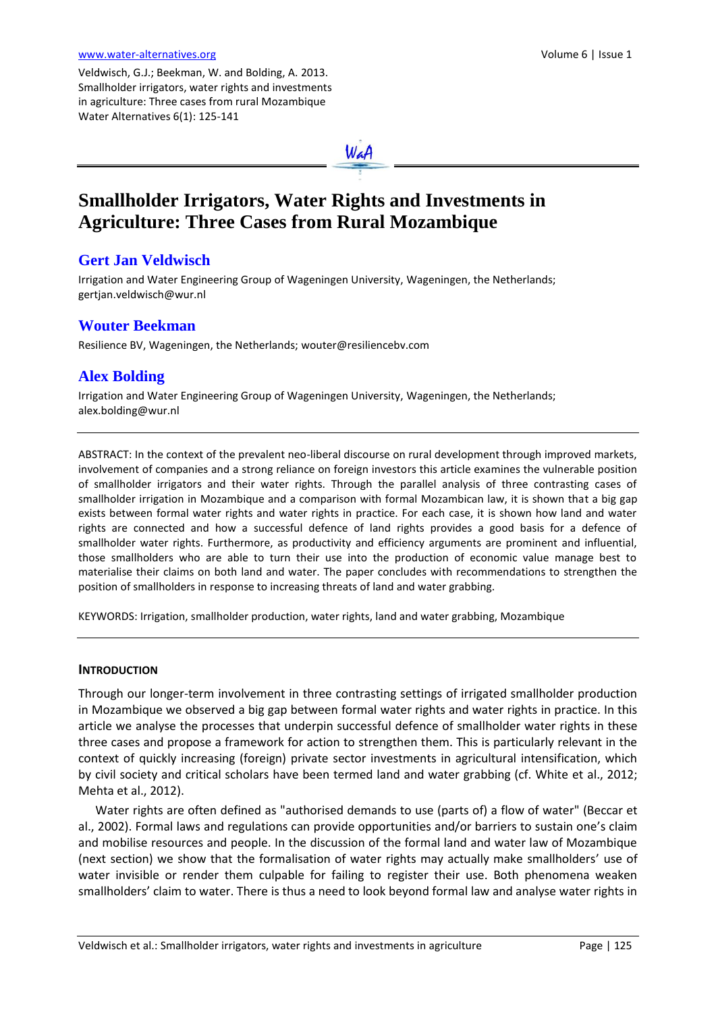Veldwisch, G.J.; Beekman, W. and Bolding, A. 2013. Smallholder irrigators, water rights and investments in agriculture: Three cases from rural Mozambique Water Alternatives 6(1): 125-141

WaA

# **Smallholder Irrigators, Water Rights and Investments in Agriculture: Three Cases from Rural Mozambique**

# **Gert Jan Veldwisch**

Irrigation and Water Engineering Group of Wageningen University, Wageningen, the Netherlands; [gertjan.veldwisch@wur.nl](mailto:gertjan.veldwisch@wur.nl)

## **Wouter Beekman**

Resilience BV, Wageningen, the Netherlands[; wouter@resiliencebv.com](mailto:wouter@resiliencebv.com)

# **Alex Bolding**

Irrigation and Water Engineering Group of Wageningen University, Wageningen, the Netherlands; [alex.bolding@wur.nl](mailto:alex.bolding@wur.nl)

ABSTRACT: In the context of the prevalent neo-liberal discourse on rural development through improved markets, involvement of companies and a strong reliance on foreign investors this article examines the vulnerable position of smallholder irrigators and their water rights. Through the parallel analysis of three contrasting cases of smallholder irrigation in Mozambique and a comparison with formal Mozambican law, it is shown that a big gap exists between formal water rights and water rights in practice. For each case, it is shown how land and water rights are connected and how a successful defence of land rights provides a good basis for a defence of smallholder water rights. Furthermore, as productivity and efficiency arguments are prominent and influential, those smallholders who are able to turn their use into the production of economic value manage best to materialise their claims on both land and water. The paper concludes with recommendations to strengthen the position of smallholders in response to increasing threats of land and water grabbing.

KEYWORDS: Irrigation, smallholder production, water rights, land and water grabbing, Mozambique

#### **INTRODUCTION**

Through our longer-term involvement in three contrasting settings of irrigated smallholder production in Mozambique we observed a big gap between formal water rights and water rights in practice. In this article we analyse the processes that underpin successful defence of smallholder water rights in these three cases and propose a framework for action to strengthen them. This is particularly relevant in the context of quickly increasing (foreign) private sector investments in agricultural intensification, which by civil society and critical scholars have been termed land and water grabbing (cf. White et al., 2012; Mehta et al., 2012).

Water rights are often defined as "authorised demands to use (parts of) a flow of water" (Beccar et al., 2002). Formal laws and regulations can provide opportunities and/or barriers to sustain one's claim and mobilise resources and people. In the discussion of the formal land and water law of Mozambique (next section) we show that the formalisation of water rights may actually make smallholders' use of water invisible or render them culpable for failing to register their use. Both phenomena weaken smallholders' claim to water. There is thus a need to look beyond formal law and analyse water rights in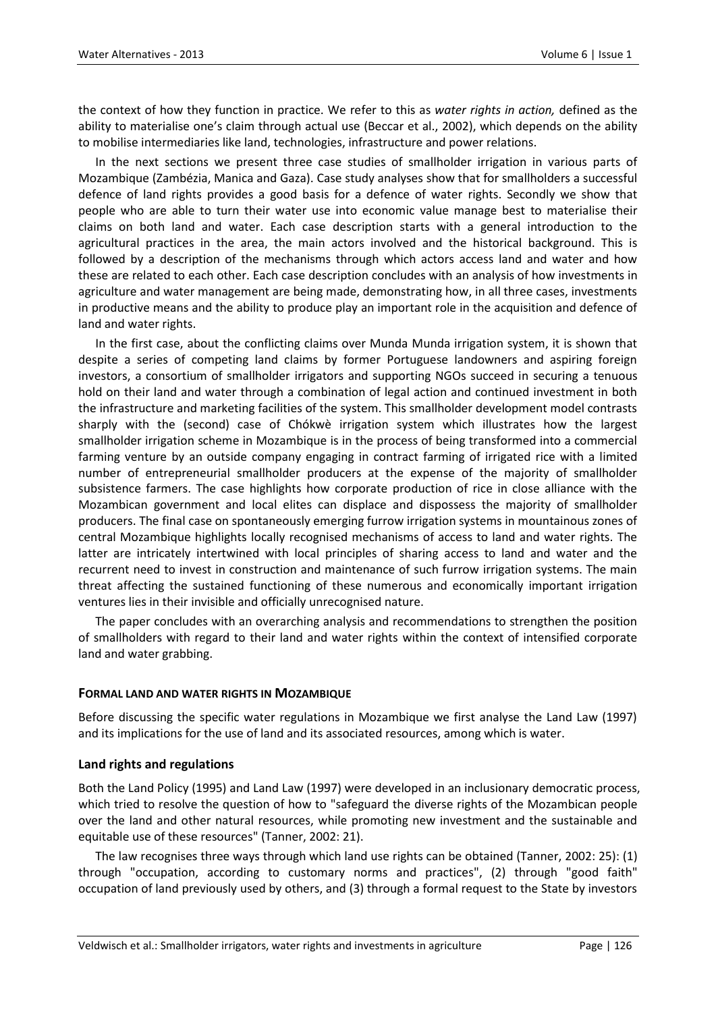the context of how they function in practice. We refer to this as *water rights in action,* defined as the ability to materialise one's claim through actual use (Beccar et al., 2002), which depends on the ability to mobilise intermediaries like land, technologies, infrastructure and power relations.

In the next sections we present three case studies of smallholder irrigation in various parts of Mozambique (Zambézia, Manica and Gaza). Case study analyses show that for smallholders a successful defence of land rights provides a good basis for a defence of water rights. Secondly we show that people who are able to turn their water use into economic value manage best to materialise their claims on both land and water. Each case description starts with a general introduction to the agricultural practices in the area, the main actors involved and the historical background. This is followed by a description of the mechanisms through which actors access land and water and how these are related to each other. Each case description concludes with an analysis of how investments in agriculture and water management are being made, demonstrating how, in all three cases, investments in productive means and the ability to produce play an important role in the acquisition and defence of land and water rights.

In the first case, about the conflicting claims over Munda Munda irrigation system, it is shown that despite a series of competing land claims by former Portuguese landowners and aspiring foreign investors, a consortium of smallholder irrigators and supporting NGOs succeed in securing a tenuous hold on their land and water through a combination of legal action and continued investment in both the infrastructure and marketing facilities of the system. This smallholder development model contrasts sharply with the (second) case of Chókwè irrigation system which illustrates how the largest smallholder irrigation scheme in Mozambique is in the process of being transformed into a commercial farming venture by an outside company engaging in contract farming of irrigated rice with a limited number of entrepreneurial smallholder producers at the expense of the majority of smallholder subsistence farmers. The case highlights how corporate production of rice in close alliance with the Mozambican government and local elites can displace and dispossess the majority of smallholder producers. The final case on spontaneously emerging furrow irrigation systems in mountainous zones of central Mozambique highlights locally recognised mechanisms of access to land and water rights. The latter are intricately intertwined with local principles of sharing access to land and water and the recurrent need to invest in construction and maintenance of such furrow irrigation systems. The main threat affecting the sustained functioning of these numerous and economically important irrigation ventures lies in their invisible and officially unrecognised nature.

The paper concludes with an overarching analysis and recommendations to strengthen the position of smallholders with regard to their land and water rights within the context of intensified corporate land and water grabbing.

#### **FORMAL LAND AND WATER RIGHTS IN MOZAMBIQUE**

Before discussing the specific water regulations in Mozambique we first analyse the Land Law (1997) and its implications for the use of land and its associated resources, among which is water.

#### **Land rights and regulations**

Both the Land Policy (1995) and Land Law (1997) were developed in an inclusionary democratic process, which tried to resolve the question of how to "safeguard the diverse rights of the Mozambican people over the land and other natural resources, while promoting new investment and the sustainable and equitable use of these resources" (Tanner, 2002: 21).

The law recognises three ways through which land use rights can be obtained (Tanner, 2002: 25): (1) through "occupation, according to customary norms and practices", (2) through "good faith" occupation of land previously used by others, and (3) through a formal request to the State by investors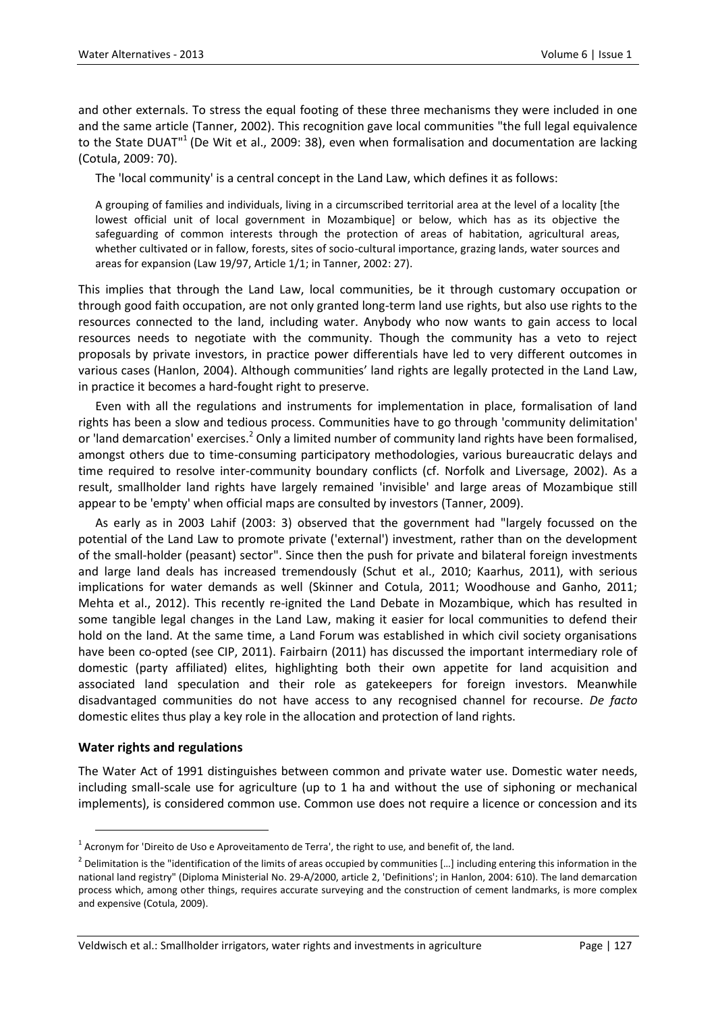and other externals. To stress the equal footing of these three mechanisms they were included in one and the same article (Tanner, 2002). This recognition gave local communities "the full legal equivalence to the State DUAT"<sup>1</sup> (De Wit et al., 2009: 38), even when formalisation and documentation are lacking (Cotula, 2009: 70).

The 'local community' is a central concept in the Land Law, which defines it as follows:

A grouping of families and individuals, living in a circumscribed territorial area at the level of a locality [the lowest official unit of local government in Mozambique] or below, which has as its objective the safeguarding of common interests through the protection of areas of habitation, agricultural areas, whether cultivated or in fallow, forests, sites of socio-cultural importance, grazing lands, water sources and areas for expansion (Law 19/97, Article 1/1; in Tanner, 2002: 27).

This implies that through the Land Law, local communities, be it through customary occupation or through good faith occupation, are not only granted long-term land use rights, but also use rights to the resources connected to the land, including water. Anybody who now wants to gain access to local resources needs to negotiate with the community. Though the community has a veto to reject proposals by private investors, in practice power differentials have led to very different outcomes in various cases (Hanlon, 2004). Although communities' land rights are legally protected in the Land Law, in practice it becomes a hard-fought right to preserve.

Even with all the regulations and instruments for implementation in place, formalisation of land rights has been a slow and tedious process. Communities have to go through 'community delimitation' or 'land demarcation' exercises.<sup>2</sup> Only a limited number of community land rights have been formalised, amongst others due to time-consuming participatory methodologies, various bureaucratic delays and time required to resolve inter-community boundary conflicts (cf. Norfolk and Liversage, 2002). As a result, smallholder land rights have largely remained 'invisible' and large areas of Mozambique still appear to be 'empty' when official maps are consulted by investors (Tanner, 2009).

As early as in 2003 Lahif (2003: 3) observed that the government had "largely focussed on the potential of the Land Law to promote private ('external') investment, rather than on the development of the small-holder (peasant) sector". Since then the push for private and bilateral foreign investments and large land deals has increased tremendously (Schut et al., 2010; Kaarhus, 2011), with serious implications for water demands as well (Skinner and Cotula, 2011; Woodhouse and Ganho, 2011; Mehta et al., 2012). This recently re-ignited the Land Debate in Mozambique, which has resulted in some tangible legal changes in the Land Law, making it easier for local communities to defend their hold on the land. At the same time, a Land Forum was established in which civil society organisations have been co-opted (see CIP, 2011). Fairbairn (2011) has discussed the important intermediary role of domestic (party affiliated) elites, highlighting both their own appetite for land acquisition and associated land speculation and their role as gatekeepers for foreign investors. Meanwhile disadvantaged communities do not have access to any recognised channel for recourse. *De facto* domestic elites thus play a key role in the allocation and protection of land rights.

#### **Water rights and regulations**

 $\ddot{\phantom{a}}$ 

The Water Act of 1991 distinguishes between common and private water use. Domestic water needs, including small-scale use for agriculture (up to 1 ha and without the use of siphoning or mechanical implements), is considered common use. Common use does not require a licence or concession and its

 $^1$  Acronym for 'Direito de Uso e Aproveitamento de Terra', the right to use, and benefit of, the land.

<sup>&</sup>lt;sup>2</sup> Delimitation is the "identification of the limits of areas occupied by communities [...] including entering this information in the national land registry" (Diploma Ministerial No. 29-A/2000, article 2, 'Definitions'; in Hanlon, 2004: 610). The land demarcation process which, among other things, requires accurate surveying and the construction of cement landmarks, is more complex and expensive (Cotula, 2009).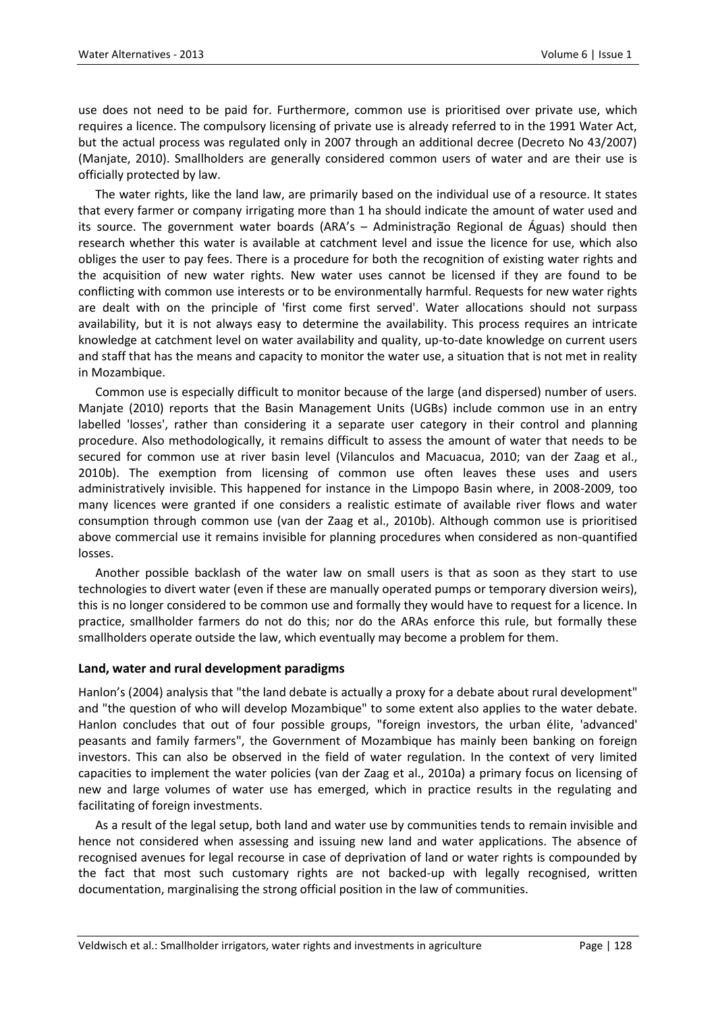use does not need to be paid for. Furthermore, common use is prioritised over private use, which requires a licence. The compulsory licensing of private use is already referred to in the 1991 Water Act, but the actual process was regulated only in 2007 through an additional decree (Decreto No 43/2007) (Manjate, 2010). Smallholders are generally considered common users of water and are their use is officially protected by law.

The water rights, like the land law, are primarily based on the individual use of a resource. It states that every farmer or company irrigating more than 1 ha should indicate the amount of water used and its source. The government water boards (ARA's – Administração Regional de Águas) should then research whether this water is available at catchment level and issue the licence for use, which also obliges the user to pay fees. There is a procedure for both the recognition of existing water rights and the acquisition of new water rights. New water uses cannot be licensed if they are found to be conflicting with common use interests or to be environmentally harmful. Requests for new water rights are dealt with on the principle of 'first come first served'. Water allocations should not surpass availability, but it is not always easy to determine the availability. This process requires an intricate knowledge at catchment level on water availability and quality, up-to-date knowledge on current users and staff that has the means and capacity to monitor the water use, a situation that is not met in reality in Mozambique.

Common use is especially difficult to monitor because of the large (and dispersed) number of users. Manjate (2010) reports that the Basin Management Units (UGBs) include common use in an entry labelled 'losses', rather than considering it a separate user category in their control and planning procedure. Also methodologically, it remains difficult to assess the amount of water that needs to be secured for common use at river basin level (Vilanculos and Macuacua, 2010; van der Zaag et al., 2010b). The exemption from licensing of common use often leaves these uses and users administratively invisible. This happened for instance in the Limpopo Basin where, in 2008-2009, too many licences were granted if one considers a realistic estimate of available river flows and water consumption through common use (van der Zaag et al., 2010b). Although common use is prioritised above commercial use it remains invisible for planning procedures when considered as non-quantified losses.

Another possible backlash of the water law on small users is that as soon as they start to use technologies to divert water (even if these are manually operated pumps or temporary diversion weirs), this is no longer considered to be common use and formally they would have to request for a licence. In practice, smallholder farmers do not do this; nor do the ARAs enforce this rule, but formally these smallholders operate outside the law, which eventually may become a problem for them.

#### **Land, water and rural development paradigms**

Hanlon's (2004) analysis that "the land debate is actually a proxy for a debate about rural development" and "the question of who will develop Mozambique" to some extent also applies to the water debate. Hanlon concludes that out of four possible groups, "foreign investors, the urban élite, 'advanced' peasants and family farmers", the Government of Mozambique has mainly been banking on foreign investors. This can also be observed in the field of water regulation. In the context of very limited capacities to implement the water policies (van der Zaag et al., 2010a) a primary focus on licensing of new and large volumes of water use has emerged, which in practice results in the regulating and facilitating of foreign investments.

As a result of the legal setup, both land and water use by communities tends to remain invisible and hence not considered when assessing and issuing new land and water applications. The absence of recognised avenues for legal recourse in case of deprivation of land or water rights is compounded by the fact that most such customary rights are not backed-up with legally recognised, written documentation, marginalising the strong official position in the law of communities.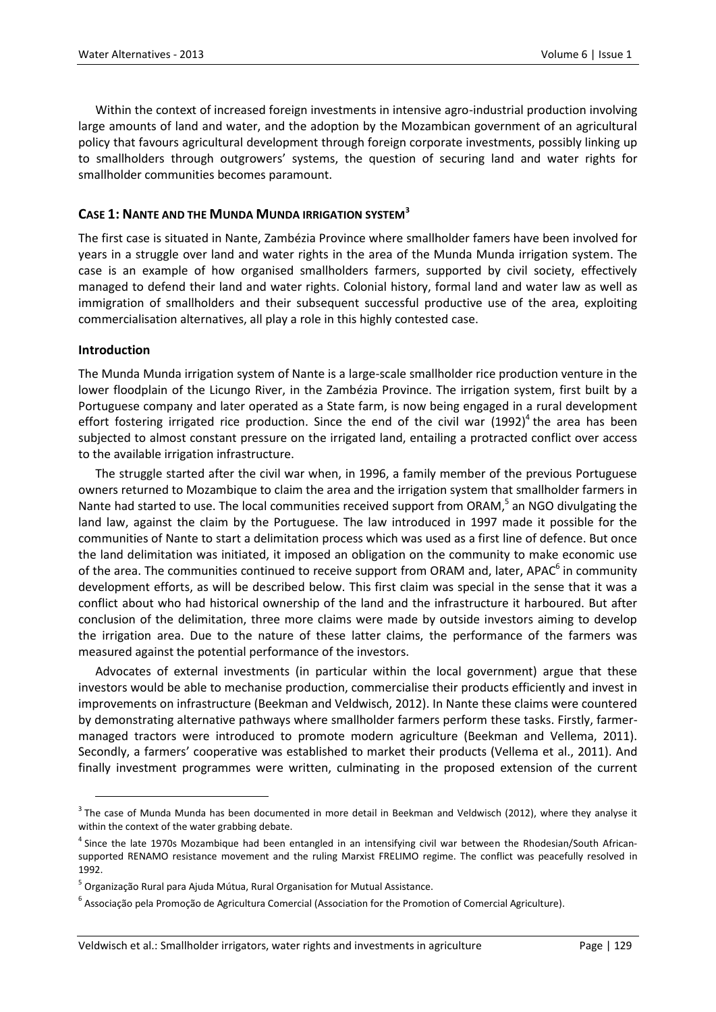Within the context of increased foreign investments in intensive agro-industrial production involving large amounts of land and water, and the adoption by the Mozambican government of an agricultural policy that favours agricultural development through foreign corporate investments, possibly linking up to smallholders through outgrowers' systems, the question of securing land and water rights for smallholder communities becomes paramount.

### **CASE 1: NANTE AND THE MUNDA MUNDA IRRIGATION SYSTEM<sup>3</sup>**

The first case is situated in Nante, Zambézia Province where smallholder famers have been involved for years in a struggle over land and water rights in the area of the Munda Munda irrigation system. The case is an example of how organised smallholders farmers, supported by civil society, effectively managed to defend their land and water rights. Colonial history, formal land and water law as well as immigration of smallholders and their subsequent successful productive use of the area, exploiting commercialisation alternatives, all play a role in this highly contested case.

#### **Introduction**

1

The Munda Munda irrigation system of Nante is a large-scale smallholder rice production venture in the lower floodplain of the Licungo River, in the Zambézia Province. The irrigation system, first built by a Portuguese company and later operated as a State farm, is now being engaged in a rural development effort fostering irrigated rice production. Since the end of the civil war  $(1992)^4$  the area has been subjected to almost constant pressure on the irrigated land, entailing a protracted conflict over access to the available irrigation infrastructure.

The struggle started after the civil war when, in 1996, a family member of the previous Portuguese owners returned to Mozambique to claim the area and the irrigation system that smallholder farmers in Nante had started to use. The local communities received support from ORAM,<sup>5</sup> an NGO divulgating the land law, against the claim by the Portuguese. The law introduced in 1997 made it possible for the communities of Nante to start a delimitation process which was used as a first line of defence. But once the land delimitation was initiated, it imposed an obligation on the community to make economic use of the area. The communities continued to receive support from ORAM and, later, APAC<sup>6</sup> in community development efforts, as will be described below. This first claim was special in the sense that it was a conflict about who had historical ownership of the land and the infrastructure it harboured. But after conclusion of the delimitation, three more claims were made by outside investors aiming to develop the irrigation area. Due to the nature of these latter claims, the performance of the farmers was measured against the potential performance of the investors.

Advocates of external investments (in particular within the local government) argue that these investors would be able to mechanise production, commercialise their products efficiently and invest in improvements on infrastructure (Beekman and Veldwisch, 2012). In Nante these claims were countered by demonstrating alternative pathways where smallholder farmers perform these tasks. Firstly, farmermanaged tractors were introduced to promote modern agriculture (Beekman and Vellema, 2011). Secondly, a farmers' cooperative was established to market their products (Vellema et al., 2011). And finally investment programmes were written, culminating in the proposed extension of the current

 $3$  The case of Munda Munda has been documented in more detail in Beekman and Veldwisch (2012), where they analyse it within the context of the water grabbing debate.

<sup>&</sup>lt;sup>4</sup> Since the late 1970s Mozambique had been entangled in an intensifying civil war between the Rhodesian/South Africansupported RENAMO resistance movement and the ruling Marxist FRELIMO regime. The conflict was peacefully resolved in 1992.

<sup>&</sup>lt;sup>5</sup> Organização Rural para Ajuda Mútua, Rural Organisation for Mutual Assistance.

<sup>6</sup> Associação pela Promoção de Agricultura Comercial (Association for the Promotion of Comercial Agriculture).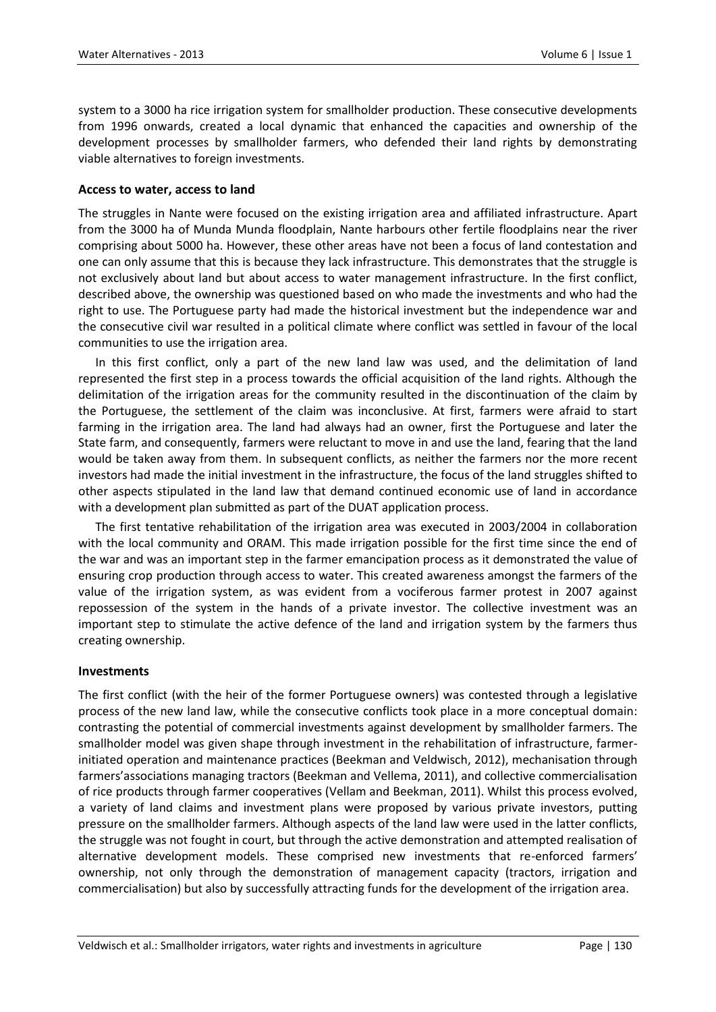system to a 3000 ha rice irrigation system for smallholder production. These consecutive developments from 1996 onwards, created a local dynamic that enhanced the capacities and ownership of the development processes by smallholder farmers, who defended their land rights by demonstrating viable alternatives to foreign investments.

#### **Access to water, access to land**

The struggles in Nante were focused on the existing irrigation area and affiliated infrastructure. Apart from the 3000 ha of Munda Munda floodplain, Nante harbours other fertile floodplains near the river comprising about 5000 ha. However, these other areas have not been a focus of land contestation and one can only assume that this is because they lack infrastructure. This demonstrates that the struggle is not exclusively about land but about access to water management infrastructure. In the first conflict, described above, the ownership was questioned based on who made the investments and who had the right to use. The Portuguese party had made the historical investment but the independence war and the consecutive civil war resulted in a political climate where conflict was settled in favour of the local communities to use the irrigation area.

In this first conflict, only a part of the new land law was used, and the delimitation of land represented the first step in a process towards the official acquisition of the land rights. Although the delimitation of the irrigation areas for the community resulted in the discontinuation of the claim by the Portuguese, the settlement of the claim was inconclusive. At first, farmers were afraid to start farming in the irrigation area. The land had always had an owner, first the Portuguese and later the State farm, and consequently, farmers were reluctant to move in and use the land, fearing that the land would be taken away from them. In subsequent conflicts, as neither the farmers nor the more recent investors had made the initial investment in the infrastructure, the focus of the land struggles shifted to other aspects stipulated in the land law that demand continued economic use of land in accordance with a development plan submitted as part of the DUAT application process.

The first tentative rehabilitation of the irrigation area was executed in 2003/2004 in collaboration with the local community and ORAM. This made irrigation possible for the first time since the end of the war and was an important step in the farmer emancipation process as it demonstrated the value of ensuring crop production through access to water. This created awareness amongst the farmers of the value of the irrigation system, as was evident from a vociferous farmer protest in 2007 against repossession of the system in the hands of a private investor. The collective investment was an important step to stimulate the active defence of the land and irrigation system by the farmers thus creating ownership.

#### **Investments**

The first conflict (with the heir of the former Portuguese owners) was contested through a legislative process of the new land law, while the consecutive conflicts took place in a more conceptual domain: contrasting the potential of commercial investments against development by smallholder farmers. The smallholder model was given shape through investment in the rehabilitation of infrastructure, farmerinitiated operation and maintenance practices (Beekman and Veldwisch, 2012), mechanisation through farmers'associations managing tractors (Beekman and Vellema, 2011), and collective commercialisation of rice products through farmer cooperatives (Vellam and Beekman, 2011). Whilst this process evolved, a variety of land claims and investment plans were proposed by various private investors, putting pressure on the smallholder farmers. Although aspects of the land law were used in the latter conflicts, the struggle was not fought in court, but through the active demonstration and attempted realisation of alternative development models. These comprised new investments that re-enforced farmers' ownership, not only through the demonstration of management capacity (tractors, irrigation and commercialisation) but also by successfully attracting funds for the development of the irrigation area.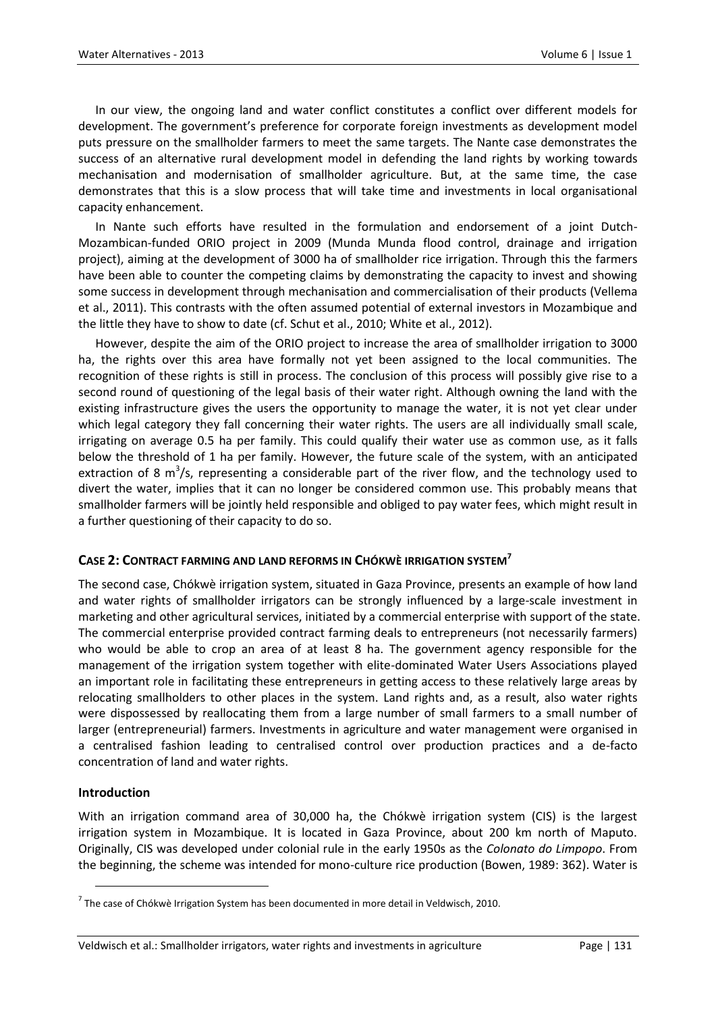In our view, the ongoing land and water conflict constitutes a conflict over different models for development. The government's preference for corporate foreign investments as development model puts pressure on the smallholder farmers to meet the same targets. The Nante case demonstrates the success of an alternative rural development model in defending the land rights by working towards mechanisation and modernisation of smallholder agriculture. But, at the same time, the case demonstrates that this is a slow process that will take time and investments in local organisational capacity enhancement.

In Nante such efforts have resulted in the formulation and endorsement of a joint Dutch-Mozambican-funded ORIO project in 2009 (Munda Munda flood control, drainage and irrigation project), aiming at the development of 3000 ha of smallholder rice irrigation. Through this the farmers have been able to counter the competing claims by demonstrating the capacity to invest and showing some success in development through mechanisation and commercialisation of their products (Vellema et al., 2011). This contrasts with the often assumed potential of external investors in Mozambique and the little they have to show to date (cf. Schut et al., 2010; White et al., 2012).

However, despite the aim of the ORIO project to increase the area of smallholder irrigation to 3000 ha, the rights over this area have formally not yet been assigned to the local communities. The recognition of these rights is still in process. The conclusion of this process will possibly give rise to a second round of questioning of the legal basis of their water right. Although owning the land with the existing infrastructure gives the users the opportunity to manage the water, it is not yet clear under which legal category they fall concerning their water rights. The users are all individually small scale, irrigating on average 0.5 ha per family. This could qualify their water use as common use, as it falls below the threshold of 1 ha per family. However, the future scale of the system, with an anticipated extraction of 8  $m^3/s$ , representing a considerable part of the river flow, and the technology used to divert the water, implies that it can no longer be considered common use. This probably means that smallholder farmers will be jointly held responsible and obliged to pay water fees, which might result in a further questioning of their capacity to do so.

#### **CASE 2: CONTRACT FARMING AND LAND REFORMS IN CHÓKWÈ IRRIGATION SYSTEM<sup>7</sup>**

The second case, Chókwè irrigation system, situated in Gaza Province, presents an example of how land and water rights of smallholder irrigators can be strongly influenced by a large-scale investment in marketing and other agricultural services, initiated by a commercial enterprise with support of the state. The commercial enterprise provided contract farming deals to entrepreneurs (not necessarily farmers) who would be able to crop an area of at least 8 ha. The government agency responsible for the management of the irrigation system together with elite-dominated Water Users Associations played an important role in facilitating these entrepreneurs in getting access to these relatively large areas by relocating smallholders to other places in the system. Land rights and, as a result, also water rights were dispossessed by reallocating them from a large number of small farmers to a small number of larger (entrepreneurial) farmers. Investments in agriculture and water management were organised in a centralised fashion leading to centralised control over production practices and a de-facto concentration of land and water rights.

#### **Introduction**

 $\ddot{\phantom{a}}$ 

With an irrigation command area of 30,000 ha, the Chókwè irrigation system (CIS) is the largest irrigation system in Mozambique. It is located in Gaza Province, about 200 km north of Maputo. Originally, CIS was developed under colonial rule in the early 1950s as the *Colonato do Limpopo*. From the beginning, the scheme was intended for mono-culture rice production (Bowen, 1989: 362). Water is

 $^7$  The case of Chókwè Irrigation System has been documented in more detail in Veldwisch, 2010.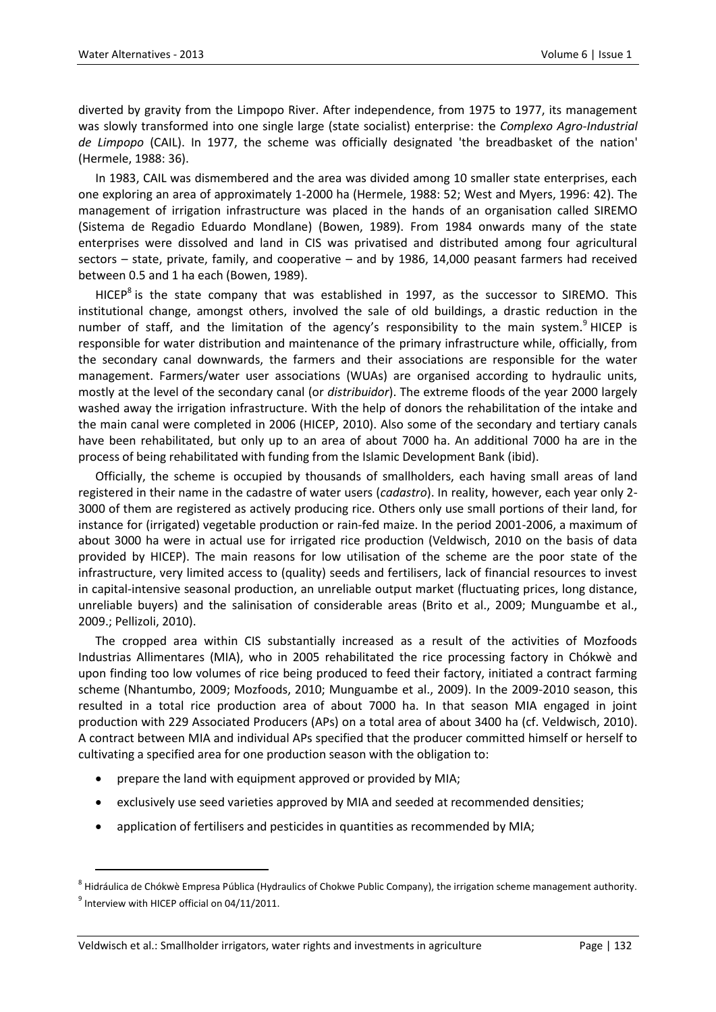diverted by gravity from the Limpopo River. After independence, from 1975 to 1977, its management was slowly transformed into one single large (state socialist) enterprise: the *Complexo Agro-Industrial de Limpopo* (CAIL). In 1977, the scheme was officially designated 'the breadbasket of the nation' (Hermele, 1988: 36).

In 1983, CAIL was dismembered and the area was divided among 10 smaller state enterprises, each one exploring an area of approximately 1-2000 ha (Hermele, 1988: 52; West and Myers, 1996: 42). The management of irrigation infrastructure was placed in the hands of an organisation called SIREMO (Sistema de Regadio Eduardo Mondlane) (Bowen, 1989). From 1984 onwards many of the state enterprises were dissolved and land in CIS was privatised and distributed among four agricultural sectors – state, private, family, and cooperative – and by 1986, 14,000 peasant farmers had received between 0.5 and 1 ha each (Bowen, 1989).

HICEP<sup>8</sup> is the state company that was established in 1997, as the successor to SIREMO. This institutional change, amongst others, involved the sale of old buildings, a drastic reduction in the number of staff, and the limitation of the agency's responsibility to the main system.<sup>9</sup> HICEP is responsible for water distribution and maintenance of the primary infrastructure while, officially, from the secondary canal downwards, the farmers and their associations are responsible for the water management. Farmers/water user associations (WUAs) are organised according to hydraulic units, mostly at the level of the secondary canal (or *distribuidor*). The extreme floods of the year 2000 largely washed away the irrigation infrastructure. With the help of donors the rehabilitation of the intake and the main canal were completed in 2006 (HICEP, 2010). Also some of the secondary and tertiary canals have been rehabilitated, but only up to an area of about 7000 ha. An additional 7000 ha are in the process of being rehabilitated with funding from the Islamic Development Bank (ibid).

Officially, the scheme is occupied by thousands of smallholders, each having small areas of land registered in their name in the cadastre of water users (*cadastro*). In reality, however, each year only 2- 3000 of them are registered as actively producing rice. Others only use small portions of their land, for instance for (irrigated) vegetable production or rain-fed maize. In the period 2001-2006, a maximum of about 3000 ha were in actual use for irrigated rice production (Veldwisch, 2010 on the basis of data provided by HICEP). The main reasons for low utilisation of the scheme are the poor state of the infrastructure, very limited access to (quality) seeds and fertilisers, lack of financial resources to invest in capital-intensive seasonal production, an unreliable output market (fluctuating prices, long distance, unreliable buyers) and the salinisation of considerable areas (Brito et al., 2009; Munguambe et al., 2009.; Pellizoli, 2010).

The cropped area within CIS substantially increased as a result of the activities of Mozfoods Industrias Allimentares (MIA), who in 2005 rehabilitated the rice processing factory in Chókwè and upon finding too low volumes of rice being produced to feed their factory, initiated a contract farming scheme (Nhantumbo, 2009; Mozfoods, 2010; Munguambe et al., 2009). In the 2009-2010 season, this resulted in a total rice production area of about 7000 ha. In that season MIA engaged in joint production with 229 Associated Producers (APs) on a total area of about 3400 ha (cf. Veldwisch, 2010). A contract between MIA and individual APs specified that the producer committed himself or herself to cultivating a specified area for one production season with the obligation to:

- prepare the land with equipment approved or provided by MIA;
- exclusively use seed varieties approved by MIA and seeded at recommended densities;
- application of fertilisers and pesticides in quantities as recommended by MIA;

 $\ddot{\phantom{a}}$ 

<sup>&</sup>lt;sup>8</sup> Hidráulica de Chókwè Empresa Pública (Hydraulics of Chokwe Public Company), the irrigation scheme management authority.  $<sup>9</sup>$  Interview with HICEP official on 04/11/2011.</sup>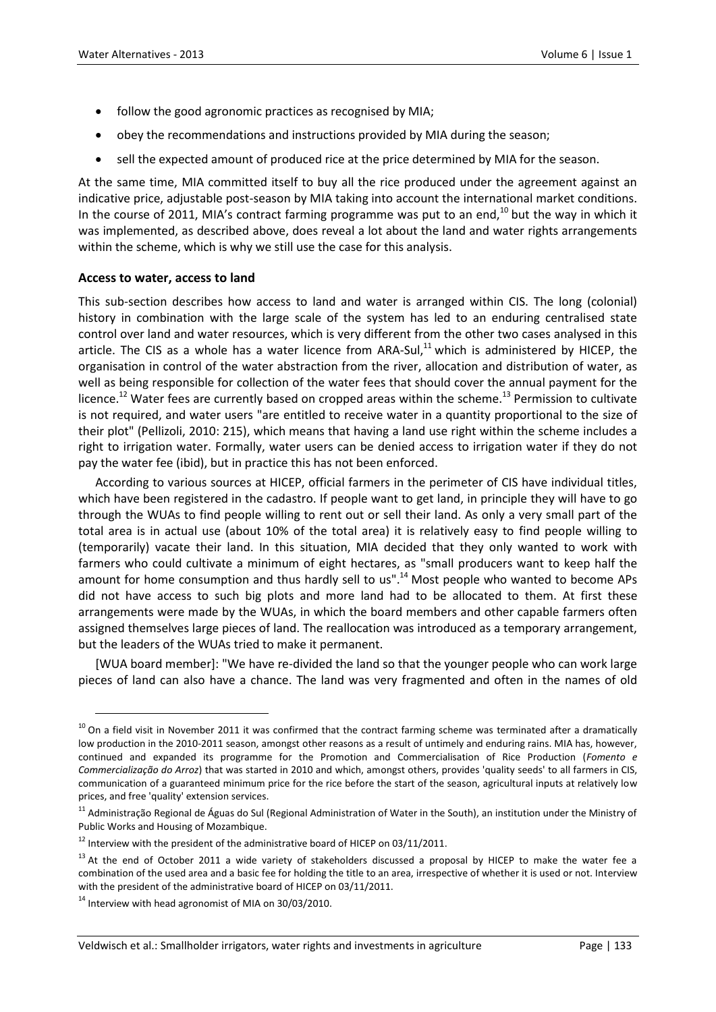- follow the good agronomic practices as recognised by MIA;
- obey the recommendations and instructions provided by MIA during the season;
- sell the expected amount of produced rice at the price determined by MIA for the season.

At the same time, MIA committed itself to buy all the rice produced under the agreement against an indicative price, adjustable post-season by MIA taking into account the international market conditions. In the course of 2011, MIA's contract farming programme was put to an end,<sup>10</sup> but the way in which it was implemented, as described above, does reveal a lot about the land and water rights arrangements within the scheme, which is why we still use the case for this analysis.

#### **Access to water, access to land**

This sub-section describes how access to land and water is arranged within CIS. The long (colonial) history in combination with the large scale of the system has led to an enduring centralised state control over land and water resources, which is very different from the other two cases analysed in this article. The CIS as a whole has a water licence from ARA-Sul, $^{11}$  which is administered by HICEP, the organisation in control of the water abstraction from the river, allocation and distribution of water, as well as being responsible for collection of the water fees that should cover the annual payment for the licence.<sup>12</sup> Water fees are currently based on cropped areas within the scheme.<sup>13</sup> Permission to cultivate is not required, and water users "are entitled to receive water in a quantity proportional to the size of their plot" (Pellizoli, 2010: 215), which means that having a land use right within the scheme includes a right to irrigation water. Formally, water users can be denied access to irrigation water if they do not pay the water fee (ibid), but in practice this has not been enforced.

According to various sources at HICEP, official farmers in the perimeter of CIS have individual titles, which have been registered in the cadastro. If people want to get land, in principle they will have to go through the WUAs to find people willing to rent out or sell their land. As only a very small part of the total area is in actual use (about 10% of the total area) it is relatively easy to find people willing to (temporarily) vacate their land. In this situation, MIA decided that they only wanted to work with farmers who could cultivate a minimum of eight hectares, as "small producers want to keep half the amount for home consumption and thus hardly sell to us".<sup>14</sup> Most people who wanted to become APs did not have access to such big plots and more land had to be allocated to them. At first these arrangements were made by the WUAs, in which the board members and other capable farmers often assigned themselves large pieces of land. The reallocation was introduced as a temporary arrangement, but the leaders of the WUAs tried to make it permanent.

[WUA board member]: "We have re-divided the land so that the younger people who can work large pieces of land can also have a chance. The land was very fragmented and often in the names of old

 $\ddot{\phantom{a}}$ 

 $10$  On a field visit in November 2011 it was confirmed that the contract farming scheme was terminated after a dramatically low production in the 2010-2011 season, amongst other reasons as a result of untimely and enduring rains. MIA has, however, continued and expanded its programme for the Promotion and Commercialisation of Rice Production (*Fomento e Commercialização do Arroz*) that was started in 2010 and which, amongst others, provides 'quality seeds' to all farmers in CIS, communication of a guaranteed minimum price for the rice before the start of the season, agricultural inputs at relatively low prices, and free 'quality' extension services.

<sup>&</sup>lt;sup>11</sup> Administração Regional de Águas do Sul (Regional Administration of Water in the South), an institution under the Ministry of Public Works and Housing of Mozambique.

 $12$  Interview with the president of the administrative board of HICEP on 03/11/2011.

<sup>&</sup>lt;sup>13</sup> At the end of October 2011 a wide variety of stakeholders discussed a proposal by HICEP to make the water fee a combination of the used area and a basic fee for holding the title to an area, irrespective of whether it is used or not. Interview with the president of the administrative board of HICEP on 03/11/2011.

 $14$  Interview with head agronomist of MIA on 30/03/2010.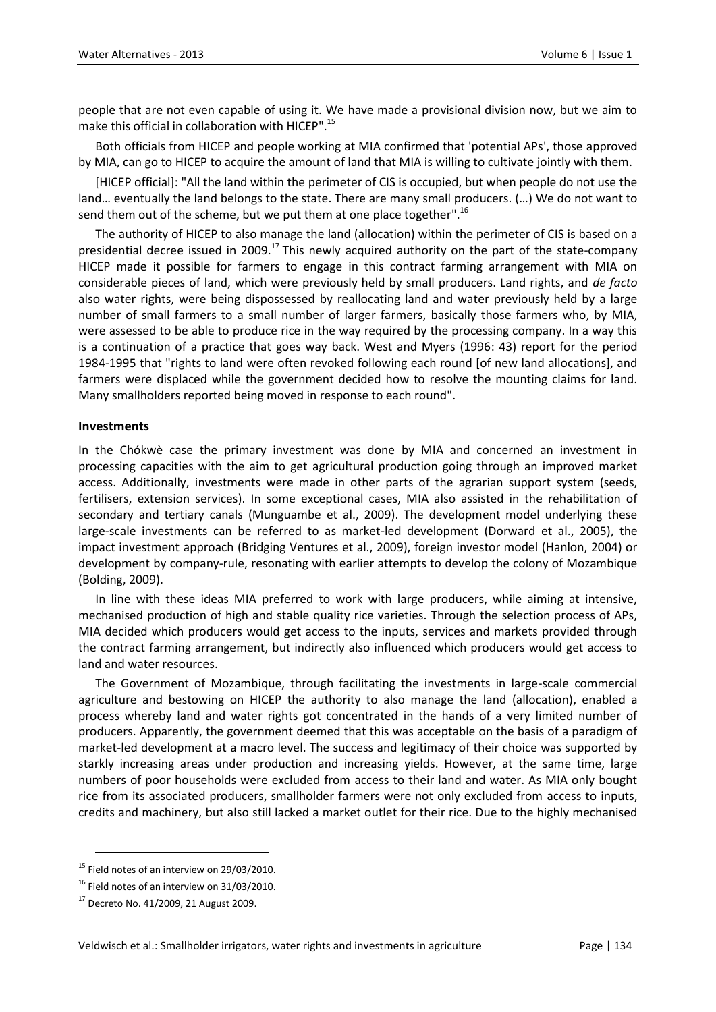people that are not even capable of using it. We have made a provisional division now, but we aim to make this official in collaboration with HICEP". 15

Both officials from HICEP and people working at MIA confirmed that 'potential APs', those approved by MIA, can go to HICEP to acquire the amount of land that MIA is willing to cultivate jointly with them.

[HICEP official]: "All the land within the perimeter of CIS is occupied, but when people do not use the land… eventually the land belongs to the state. There are many small producers. (…) We do not want to send them out of the scheme, but we put them at one place together".<sup>16</sup>

The authority of HICEP to also manage the land (allocation) within the perimeter of CIS is based on a presidential decree issued in 2009.<sup>17</sup> This newly acquired authority on the part of the state-company HICEP made it possible for farmers to engage in this contract farming arrangement with MIA on considerable pieces of land, which were previously held by small producers. Land rights, and *de facto* also water rights, were being dispossessed by reallocating land and water previously held by a large number of small farmers to a small number of larger farmers, basically those farmers who, by MIA, were assessed to be able to produce rice in the way required by the processing company. In a way this is a continuation of a practice that goes way back. West and Myers (1996: 43) report for the period 1984-1995 that "rights to land were often revoked following each round [of new land allocations], and farmers were displaced while the government decided how to resolve the mounting claims for land. Many smallholders reported being moved in response to each round".

#### **Investments**

In the Chókwè case the primary investment was done by MIA and concerned an investment in processing capacities with the aim to get agricultural production going through an improved market access. Additionally, investments were made in other parts of the agrarian support system (seeds, fertilisers, extension services). In some exceptional cases, MIA also assisted in the rehabilitation of secondary and tertiary canals (Munguambe et al., 2009). The development model underlying these large-scale investments can be referred to as market-led development (Dorward et al., 2005), the impact investment approach (Bridging Ventures et al., 2009), foreign investor model (Hanlon, 2004) or development by company-rule, resonating with earlier attempts to develop the colony of Mozambique (Bolding, 2009).

In line with these ideas MIA preferred to work with large producers, while aiming at intensive, mechanised production of high and stable quality rice varieties. Through the selection process of APs, MIA decided which producers would get access to the inputs, services and markets provided through the contract farming arrangement, but indirectly also influenced which producers would get access to land and water resources.

The Government of Mozambique, through facilitating the investments in large-scale commercial agriculture and bestowing on HICEP the authority to also manage the land (allocation), enabled a process whereby land and water rights got concentrated in the hands of a very limited number of producers. Apparently, the government deemed that this was acceptable on the basis of a paradigm of market-led development at a macro level. The success and legitimacy of their choice was supported by starkly increasing areas under production and increasing yields. However, at the same time, large numbers of poor households were excluded from access to their land and water. As MIA only bought rice from its associated producers, smallholder farmers were not only excluded from access to inputs, credits and machinery, but also still lacked a market outlet for their rice. Due to the highly mechanised

 $\overline{a}$ 

<sup>&</sup>lt;sup>15</sup> Field notes of an interview on 29/03/2010.

 $16$  Field notes of an interview on 31/03/2010.

 $17$  Decreto No. 41/2009, 21 August 2009.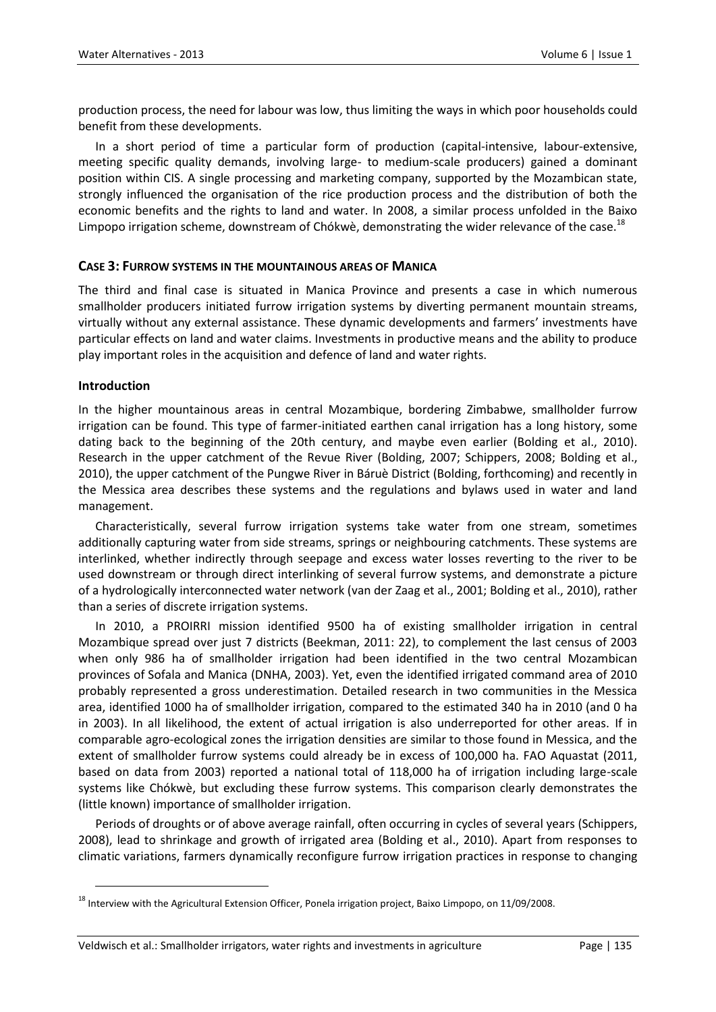production process, the need for labour was low, thus limiting the ways in which poor households could benefit from these developments.

In a short period of time a particular form of production (capital-intensive, labour-extensive, meeting specific quality demands, involving large- to medium-scale producers) gained a dominant position within CIS. A single processing and marketing company, supported by the Mozambican state, strongly influenced the organisation of the rice production process and the distribution of both the economic benefits and the rights to land and water. In 2008, a similar process unfolded in the Baixo Limpopo irrigation scheme, downstream of Chókwè, demonstrating the wider relevance of the case.<sup>18</sup>

#### **CASE 3: FURROW SYSTEMS IN THE MOUNTAINOUS AREAS OF MANICA**

The third and final case is situated in Manica Province and presents a case in which numerous smallholder producers initiated furrow irrigation systems by diverting permanent mountain streams, virtually without any external assistance. These dynamic developments and farmers' investments have particular effects on land and water claims. Investments in productive means and the ability to produce play important roles in the acquisition and defence of land and water rights.

#### **Introduction**

 $\ddot{\phantom{a}}$ 

In the higher mountainous areas in central Mozambique, bordering Zimbabwe, smallholder furrow irrigation can be found. This type of farmer-initiated earthen canal irrigation has a long history, some dating back to the beginning of the 20th century, and maybe even earlier (Bolding et al., 2010). Research in the upper catchment of the Revue River (Bolding, 2007; Schippers, 2008; Bolding et al., 2010), the upper catchment of the Pungwe River in Báruè District (Bolding, forthcoming) and recently in the Messica area describes these systems and the regulations and bylaws used in water and land management.

Characteristically, several furrow irrigation systems take water from one stream, sometimes additionally capturing water from side streams, springs or neighbouring catchments. These systems are interlinked, whether indirectly through seepage and excess water losses reverting to the river to be used downstream or through direct interlinking of several furrow systems, and demonstrate a picture of a hydrologically interconnected water network (van der Zaag et al., 2001; Bolding et al., 2010), rather than a series of discrete irrigation systems.

In 2010, a PROIRRI mission identified 9500 ha of existing smallholder irrigation in central Mozambique spread over just 7 districts (Beekman, 2011: 22), to complement the last census of 2003 when only 986 ha of smallholder irrigation had been identified in the two central Mozambican provinces of Sofala and Manica (DNHA, 2003). Yet, even the identified irrigated command area of 2010 probably represented a gross underestimation. Detailed research in two communities in the Messica area, identified 1000 ha of smallholder irrigation, compared to the estimated 340 ha in 2010 (and 0 ha in 2003). In all likelihood, the extent of actual irrigation is also underreported for other areas. If in comparable agro-ecological zones the irrigation densities are similar to those found in Messica, and the extent of smallholder furrow systems could already be in excess of 100,000 ha. FAO Aquastat (2011, based on data from 2003) reported a national total of 118,000 ha of irrigation including large-scale systems like Chókwè, but excluding these furrow systems. This comparison clearly demonstrates the (little known) importance of smallholder irrigation.

Periods of droughts or of above average rainfall, often occurring in cycles of several years (Schippers, 2008), lead to shrinkage and growth of irrigated area (Bolding et al., 2010). Apart from responses to climatic variations, farmers dynamically reconfigure furrow irrigation practices in response to changing

<sup>&</sup>lt;sup>18</sup> Interview with the Agricultural Extension Officer, Ponela irrigation project, Baixo Limpopo, on 11/09/2008.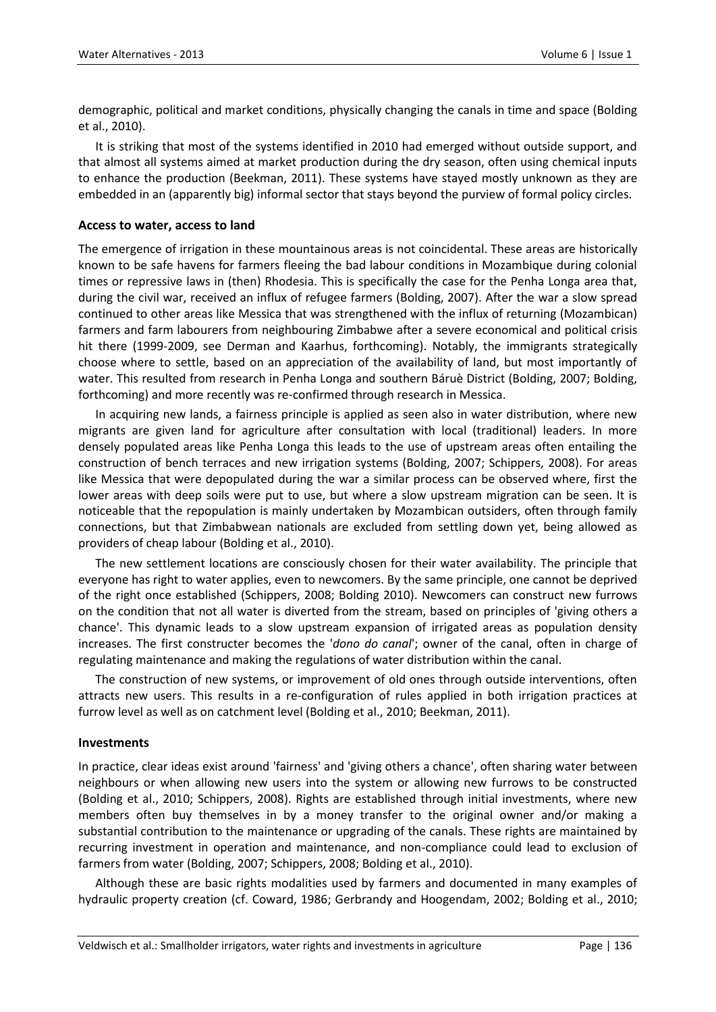demographic, political and market conditions, physically changing the canals in time and space (Bolding et al., 2010).

It is striking that most of the systems identified in 2010 had emerged without outside support, and that almost all systems aimed at market production during the dry season, often using chemical inputs to enhance the production (Beekman, 2011). These systems have stayed mostly unknown as they are embedded in an (apparently big) informal sector that stays beyond the purview of formal policy circles.

#### **Access to water, access to land**

The emergence of irrigation in these mountainous areas is not coincidental. These areas are historically known to be safe havens for farmers fleeing the bad labour conditions in Mozambique during colonial times or repressive laws in (then) Rhodesia. This is specifically the case for the Penha Longa area that, during the civil war, received an influx of refugee farmers (Bolding, 2007). After the war a slow spread continued to other areas like Messica that was strengthened with the influx of returning (Mozambican) farmers and farm labourers from neighbouring Zimbabwe after a severe economical and political crisis hit there (1999-2009, see Derman and Kaarhus, forthcoming). Notably, the immigrants strategically choose where to settle, based on an appreciation of the availability of land, but most importantly of water. This resulted from research in Penha Longa and southern Báruè District (Bolding, 2007; Bolding, forthcoming) and more recently was re-confirmed through research in Messica.

In acquiring new lands, a fairness principle is applied as seen also in water distribution, where new migrants are given land for agriculture after consultation with local (traditional) leaders. In more densely populated areas like Penha Longa this leads to the use of upstream areas often entailing the construction of bench terraces and new irrigation systems (Bolding, 2007; Schippers, 2008). For areas like Messica that were depopulated during the war a similar process can be observed where, first the lower areas with deep soils were put to use, but where a slow upstream migration can be seen. It is noticeable that the repopulation is mainly undertaken by Mozambican outsiders, often through family connections, but that Zimbabwean nationals are excluded from settling down yet, being allowed as providers of cheap labour (Bolding et al., 2010).

The new settlement locations are consciously chosen for their water availability. The principle that everyone has right to water applies, even to newcomers. By the same principle, one cannot be deprived of the right once established (Schippers, 2008; Bolding 2010). Newcomers can construct new furrows on the condition that not all water is diverted from the stream, based on principles of 'giving others a chance'. This dynamic leads to a slow upstream expansion of irrigated areas as population density increases. The first constructer becomes the '*dono do canal*'; owner of the canal, often in charge of regulating maintenance and making the regulations of water distribution within the canal.

The construction of new systems, or improvement of old ones through outside interventions, often attracts new users. This results in a re-configuration of rules applied in both irrigation practices at furrow level as well as on catchment level (Bolding et al., 2010; Beekman, 2011).

#### **Investments**

In practice, clear ideas exist around 'fairness' and 'giving others a chance', often sharing water between neighbours or when allowing new users into the system or allowing new furrows to be constructed (Bolding et al., 2010; Schippers, 2008). Rights are established through initial investments, where new members often buy themselves in by a money transfer to the original owner and/or making a substantial contribution to the maintenance or upgrading of the canals. These rights are maintained by recurring investment in operation and maintenance, and non-compliance could lead to exclusion of farmers from water (Bolding, 2007; Schippers, 2008; Bolding et al., 2010).

Although these are basic rights modalities used by farmers and documented in many examples of hydraulic property creation (cf. Coward, 1986; Gerbrandy and Hoogendam, 2002; Bolding et al., 2010;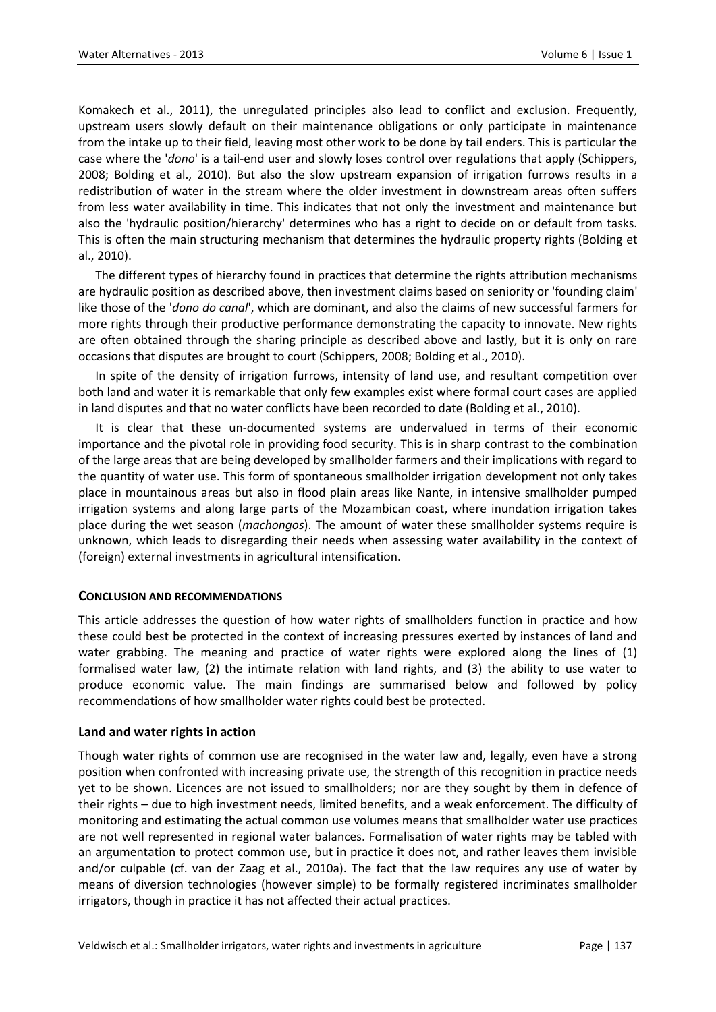Komakech et al., 2011), the unregulated principles also lead to conflict and exclusion. Frequently, upstream users slowly default on their maintenance obligations or only participate in maintenance from the intake up to their field, leaving most other work to be done by tail enders. This is particular the case where the '*dono*' is a tail-end user and slowly loses control over regulations that apply (Schippers, 2008; Bolding et al., 2010). But also the slow upstream expansion of irrigation furrows results in a redistribution of water in the stream where the older investment in downstream areas often suffers from less water availability in time. This indicates that not only the investment and maintenance but also the 'hydraulic position/hierarchy' determines who has a right to decide on or default from tasks. This is often the main structuring mechanism that determines the hydraulic property rights (Bolding et al., 2010).

The different types of hierarchy found in practices that determine the rights attribution mechanisms are hydraulic position as described above, then investment claims based on seniority or 'founding claim' like those of the '*dono do canal*', which are dominant, and also the claims of new successful farmers for more rights through their productive performance demonstrating the capacity to innovate. New rights are often obtained through the sharing principle as described above and lastly, but it is only on rare occasions that disputes are brought to court (Schippers, 2008; Bolding et al., 2010).

In spite of the density of irrigation furrows, intensity of land use, and resultant competition over both land and water it is remarkable that only few examples exist where formal court cases are applied in land disputes and that no water conflicts have been recorded to date (Bolding et al., 2010).

It is clear that these un-documented systems are undervalued in terms of their economic importance and the pivotal role in providing food security. This is in sharp contrast to the combination of the large areas that are being developed by smallholder farmers and their implications with regard to the quantity of water use. This form of spontaneous smallholder irrigation development not only takes place in mountainous areas but also in flood plain areas like Nante, in intensive smallholder pumped irrigation systems and along large parts of the Mozambican coast, where inundation irrigation takes place during the wet season (*machongos*). The amount of water these smallholder systems require is unknown, which leads to disregarding their needs when assessing water availability in the context of (foreign) external investments in agricultural intensification.

#### **CONCLUSION AND RECOMMENDATIONS**

This article addresses the question of how water rights of smallholders function in practice and how these could best be protected in the context of increasing pressures exerted by instances of land and water grabbing. The meaning and practice of water rights were explored along the lines of (1) formalised water law, (2) the intimate relation with land rights, and (3) the ability to use water to produce economic value. The main findings are summarised below and followed by policy recommendations of how smallholder water rights could best be protected.

#### **Land and water rights in action**

Though water rights of common use are recognised in the water law and, legally, even have a strong position when confronted with increasing private use, the strength of this recognition in practice needs yet to be shown. Licences are not issued to smallholders; nor are they sought by them in defence of their rights – due to high investment needs, limited benefits, and a weak enforcement. The difficulty of monitoring and estimating the actual common use volumes means that smallholder water use practices are not well represented in regional water balances. Formalisation of water rights may be tabled with an argumentation to protect common use, but in practice it does not, and rather leaves them invisible and/or culpable (cf. van der Zaag et al., 2010a). The fact that the law requires any use of water by means of diversion technologies (however simple) to be formally registered incriminates smallholder irrigators, though in practice it has not affected their actual practices.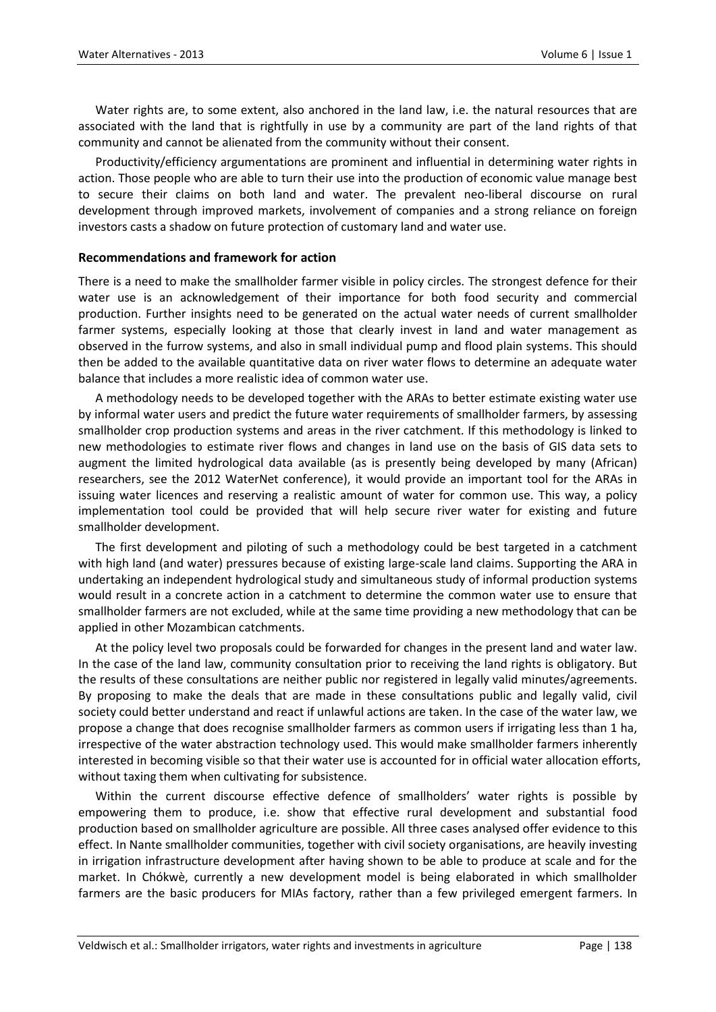Water rights are, to some extent, also anchored in the land law, i.e. the natural resources that are associated with the land that is rightfully in use by a community are part of the land rights of that community and cannot be alienated from the community without their consent.

Productivity/efficiency argumentations are prominent and influential in determining water rights in action. Those people who are able to turn their use into the production of economic value manage best to secure their claims on both land and water. The prevalent neo-liberal discourse on rural development through improved markets, involvement of companies and a strong reliance on foreign investors casts a shadow on future protection of customary land and water use.

#### **Recommendations and framework for action**

There is a need to make the smallholder farmer visible in policy circles. The strongest defence for their water use is an acknowledgement of their importance for both food security and commercial production. Further insights need to be generated on the actual water needs of current smallholder farmer systems, especially looking at those that clearly invest in land and water management as observed in the furrow systems, and also in small individual pump and flood plain systems. This should then be added to the available quantitative data on river water flows to determine an adequate water balance that includes a more realistic idea of common water use.

A methodology needs to be developed together with the ARAs to better estimate existing water use by informal water users and predict the future water requirements of smallholder farmers, by assessing smallholder crop production systems and areas in the river catchment. If this methodology is linked to new methodologies to estimate river flows and changes in land use on the basis of GIS data sets to augment the limited hydrological data available (as is presently being developed by many (African) researchers, see the 2012 WaterNet conference), it would provide an important tool for the ARAs in issuing water licences and reserving a realistic amount of water for common use. This way, a policy implementation tool could be provided that will help secure river water for existing and future smallholder development.

The first development and piloting of such a methodology could be best targeted in a catchment with high land (and water) pressures because of existing large-scale land claims. Supporting the ARA in undertaking an independent hydrological study and simultaneous study of informal production systems would result in a concrete action in a catchment to determine the common water use to ensure that smallholder farmers are not excluded, while at the same time providing a new methodology that can be applied in other Mozambican catchments.

At the policy level two proposals could be forwarded for changes in the present land and water law. In the case of the land law, community consultation prior to receiving the land rights is obligatory. But the results of these consultations are neither public nor registered in legally valid minutes/agreements. By proposing to make the deals that are made in these consultations public and legally valid, civil society could better understand and react if unlawful actions are taken. In the case of the water law, we propose a change that does recognise smallholder farmers as common users if irrigating less than 1 ha, irrespective of the water abstraction technology used. This would make smallholder farmers inherently interested in becoming visible so that their water use is accounted for in official water allocation efforts, without taxing them when cultivating for subsistence.

Within the current discourse effective defence of smallholders' water rights is possible by empowering them to produce, i.e. show that effective rural development and substantial food production based on smallholder agriculture are possible. All three cases analysed offer evidence to this effect. In Nante smallholder communities, together with civil society organisations, are heavily investing in irrigation infrastructure development after having shown to be able to produce at scale and for the market. In Chókwè, currently a new development model is being elaborated in which smallholder farmers are the basic producers for MIAs factory, rather than a few privileged emergent farmers. In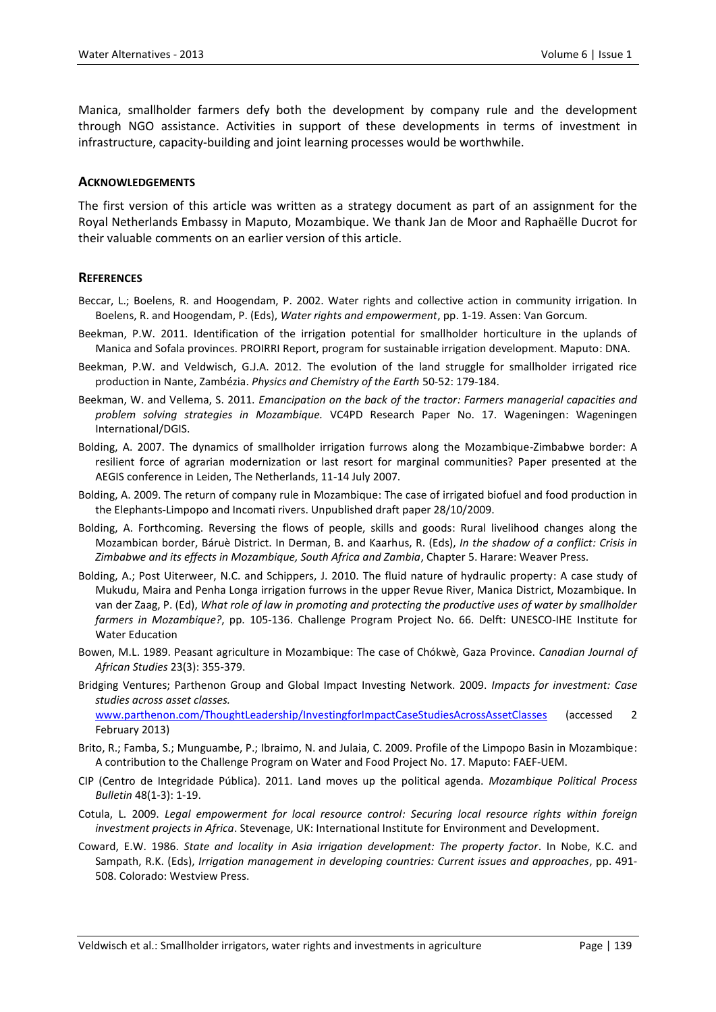Manica, smallholder farmers defy both the development by company rule and the development through NGO assistance. Activities in support of these developments in terms of investment in infrastructure, capacity-building and joint learning processes would be worthwhile.

#### **ACKNOWLEDGEMENTS**

The first version of this article was written as a strategy document as part of an assignment for the Royal Netherlands Embassy in Maputo, Mozambique. We thank Jan de Moor and Raphaëlle Ducrot for their valuable comments on an earlier version of this article.

#### **REFERENCES**

- Beccar, L.; Boelens, R. and Hoogendam, P. 2002. Water rights and collective action in community irrigation. In Boelens, R. and Hoogendam, P. (Eds), *Water rights and empowerment*, pp. 1-19. Assen: Van Gorcum.
- Beekman, P.W. 2011. Identification of the irrigation potential for smallholder horticulture in the uplands of Manica and Sofala provinces. PROIRRI Report, program for sustainable irrigation development. Maputo: DNA.
- Beekman, P.W. and Veldwisch, G.J.A. 2012. The evolution of the land struggle for smallholder irrigated rice production in Nante, Zambézia. *Physics and Chemistry of the Earth* 50-52: 179-184.
- Beekman, W. and Vellema, S. 2011. *Emancipation on the back of the tractor: Farmers managerial capacities and problem solving strategies in Mozambique.* VC4PD Research Paper No. 17. Wageningen: Wageningen International/DGIS.
- Bolding, A. 2007. The dynamics of smallholder irrigation furrows along the Mozambique-Zimbabwe border: A resilient force of agrarian modernization or last resort for marginal communities? Paper presented at the AEGIS conference in Leiden, The Netherlands, 11-14 July 2007.
- Bolding, A. 2009. The return of company rule in Mozambique: The case of irrigated biofuel and food production in the Elephants-Limpopo and Incomati rivers. Unpublished draft paper 28/10/2009.
- Bolding, A. Forthcoming. Reversing the flows of people, skills and goods: Rural livelihood changes along the Mozambican border, Báruè District. In Derman, B. and Kaarhus, R. (Eds), *In the shadow of a conflict: Crisis in Zimbabwe and its effects in Mozambique, South Africa and Zambia*, Chapter 5. Harare: Weaver Press.
- Bolding, A.; Post Uiterweer, N.C. and Schippers, J. 2010. The fluid nature of hydraulic property: A case study of Mukudu, Maira and Penha Longa irrigation furrows in the upper Revue River, Manica District, Mozambique. In van der Zaag, P. (Ed), *What role of law in promoting and protecting the productive uses of water by smallholder farmers in Mozambique?*, pp. 105-136. Challenge Program Project No. 66. Delft: UNESCO-IHE Institute for Water Education
- Bowen, M.L. 1989. Peasant agriculture in Mozambique: The case of Chókwè, Gaza Province. *Canadian Journal of African Studies* 23(3): 355-379.
- Bridging Ventures; Parthenon Group and Global Impact Investing Network. 2009. *Impacts for investment: Case studies across asset classes.*

[www.parthenon.com/ThoughtLeadership/InvestingforImpactCaseStudiesAcrossAssetClasses](http://www.parthenon.com/ThoughtLeadership/InvestingforImpactCaseStudiesAcrossAssetClasses) (accessed 2 February 2013)

- Brito, R.; Famba, S.; Munguambe, P.; Ibraimo, N. and Julaia, C. 2009. Profile of the Limpopo Basin in Mozambique: A contribution to the Challenge Program on Water and Food Project No. 17. Maputo: FAEF-UEM.
- CIP (Centro de Integridade Pública). 2011. Land moves up the political agenda. *Mozambique Political Process Bulletin* 48(1-3): 1-19.
- Cotula, L. 2009. *Legal empowerment for local resource control: Securing local resource rights within foreign investment projects in Africa*. Stevenage, UK: International Institute for Environment and Development.
- Coward, E.W. 1986. *State and locality in Asia irrigation development: The property factor*. In Nobe, K.C. and Sampath, R.K. (Eds), *Irrigation management in developing countries: Current issues and approaches*, pp. 491- 508. Colorado: Westview Press.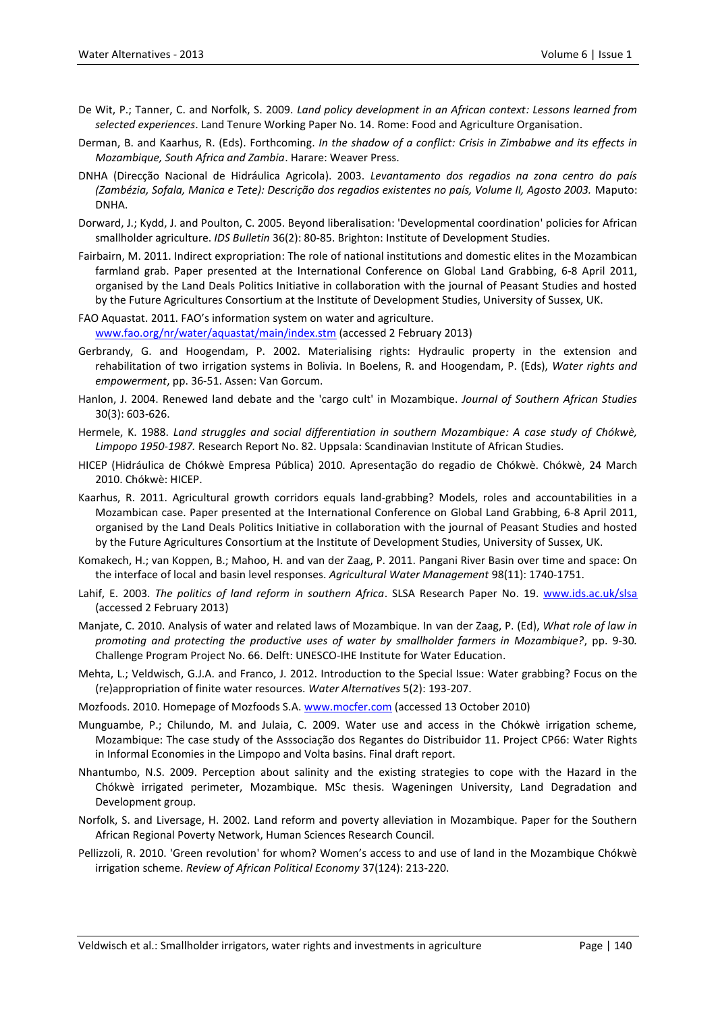- De Wit, P.; Tanner, C. and Norfolk, S. 2009. *Land policy development in an African context: Lessons learned from selected experiences*. Land Tenure Working Paper No. 14. Rome: Food and Agriculture Organisation.
- Derman, B. and Kaarhus, R. (Eds). Forthcoming. *In the shadow of a conflict: Crisis in Zimbabwe and its effects in Mozambique, South Africa and Zambia*. Harare: Weaver Press.
- DNHA (Direcção Nacional de Hidráulica Agricola). 2003. *Levantamento dos regadios na zona centro do país (Zambézia, Sofala, Manica e Tete): Descrição dos regadios existentes no país, Volume II, Agosto 2003.* Maputo: DNHA.
- Dorward, J.; Kydd, J. and Poulton, C. 2005. Beyond liberalisation: 'Developmental coordination' policies for African smallholder agriculture. *IDS Bulletin* 36(2): 80-85. Brighton: Institute of Development Studies.
- Fairbairn, M. 2011. Indirect expropriation: The role of national institutions and domestic elites in the Mozambican farmland grab. Paper presented at the International Conference on Global Land Grabbing, 6-8 April 2011, organised by the Land Deals Politics Initiative in collaboration with the journal of Peasant Studies and hosted by the Future Agricultures Consortium at the Institute of Development Studies, University of Sussex, UK.
- FAO Aquastat. 2011. FAO's information system on water and agriculture. [www.fao.org/nr/water/aquastat/main/index.stm](http://www.fao.org/nr/water/aquastat/main/index.stm) (accessed 2 February 2013)
- Gerbrandy, G. and Hoogendam, P. 2002. Materialising rights: Hydraulic property in the extension and rehabilitation of two irrigation systems in Bolivia. In Boelens, R. and Hoogendam, P. (Eds), *Water rights and empowerment*, pp. 36-51. Assen: Van Gorcum.
- Hanlon, J. 2004. Renewed land debate and the 'cargo cult' in Mozambique. *Journal of Southern African Studies* 30(3): 603-626.
- Hermele, K. 1988. *Land struggles and social differentiation in southern Mozambique: A case study of Chókwè, Limpopo 1950-1987.* Research Report No. 82. Uppsala: Scandinavian Institute of African Studies.
- HICEP (Hidráulica de Chókwè Empresa Pública) 2010. Apresentação do regadio de Chókwè. Chókwè, 24 March 2010. Chókwè: HICEP.
- Kaarhus, R. 2011. Agricultural growth corridors equals land-grabbing? Models, roles and accountabilities in a Mozambican case. Paper presented at the International Conference on Global Land Grabbing, 6-8 April 2011, organised by the Land Deals Politics Initiative in collaboration with the journal of Peasant Studies and hosted by the Future Agricultures Consortium at the Institute of Development Studies, University of Sussex, UK.
- Komakech, H.; van Koppen, B.; Mahoo, H. and van der Zaag, P. 2011. Pangani River Basin over time and space: On the interface of local and basin level responses. *Agricultural Water Management* 98(11): 1740-1751.
- Lahif, E. 2003. *The politics of land reform in southern Africa*. SLSA Research Paper No. 19. [www.ids.ac.uk/slsa](http://www.ids.ac.uk/slsa) (accessed 2 February 2013)
- Manjate, C. 2010. Analysis of water and related laws of Mozambique. In van der Zaag, P. (Ed), *What role of law in promoting and protecting the productive uses of water by smallholder farmers in Mozambique?*, pp. 9-30*.* Challenge Program Project No. 66. Delft: UNESCO-IHE Institute for Water Education.
- Mehta, L.; Veldwisch, G.J.A. and Franco, J. 2012. Introduction to the Special Issue: Water grabbing? Focus on the (re)appropriation of finite water resources. *Water Alternatives* 5(2): 193-207.
- Mozfoods. 2010. Homepage of Mozfoods S.A. [www.mocfer.com](http://www.mocfer.com/) (accessed 13 October 2010)
- Munguambe, P.; Chilundo, M. and Julaia, C. 2009. Water use and access in the Chókwè irrigation scheme, Mozambique: The case study of the Asssociação dos Regantes do Distribuidor 11. Project CP66: Water Rights in Informal Economies in the Limpopo and Volta basins. Final draft report.
- Nhantumbo, N.S. 2009. Perception about salinity and the existing strategies to cope with the Hazard in the Chókwè irrigated perimeter, Mozambique. MSc thesis. Wageningen University, Land Degradation and Development group.
- Norfolk, S. and Liversage, H. 2002. Land reform and poverty alleviation in Mozambique. Paper for the Southern African Regional Poverty Network, Human Sciences Research Council.
- Pellizzoli, R. 2010. 'Green revolution' for whom? Women's access to and use of land in the Mozambique Chókwè irrigation scheme. *Review of African Political Economy* 37(124): 213-220.